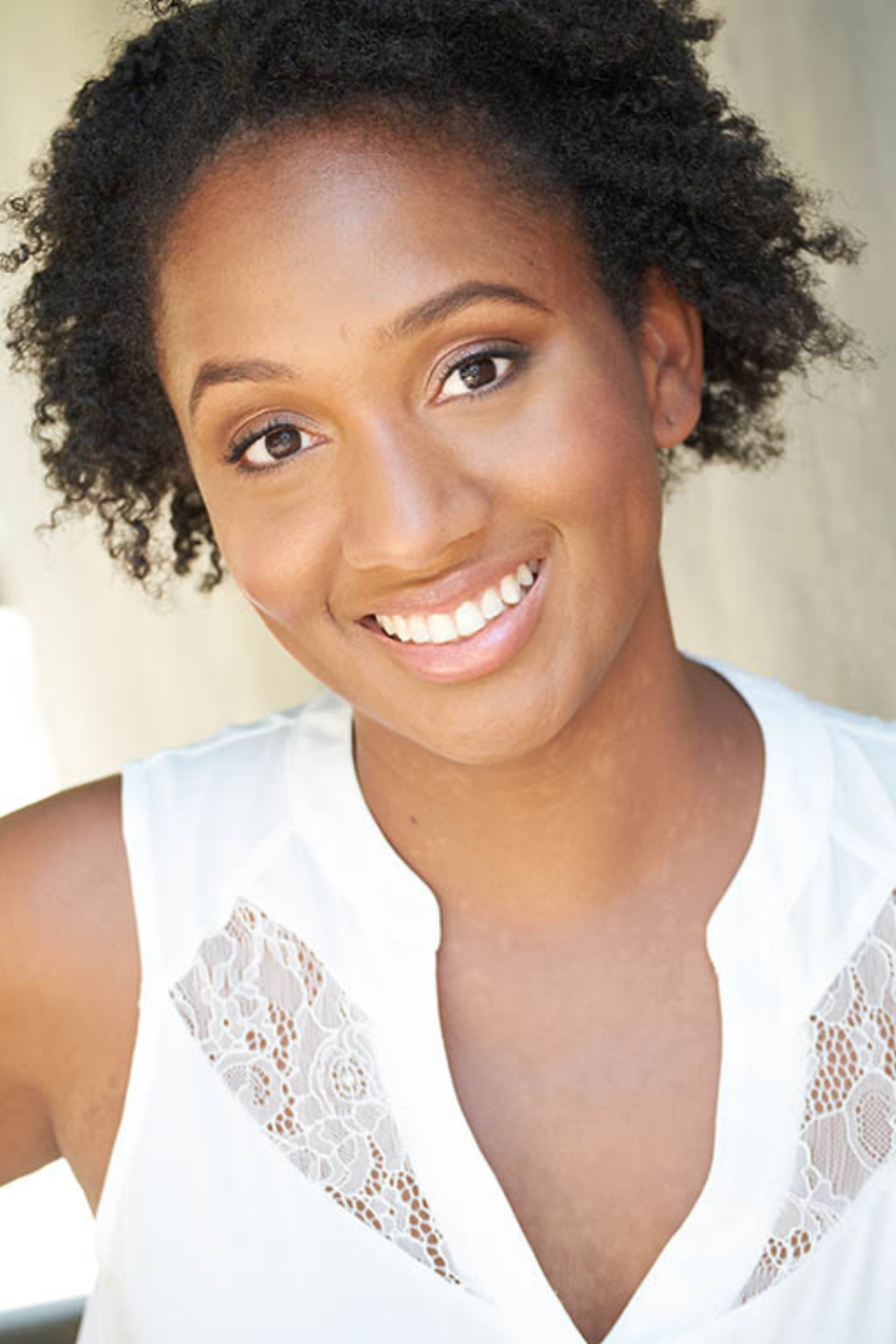